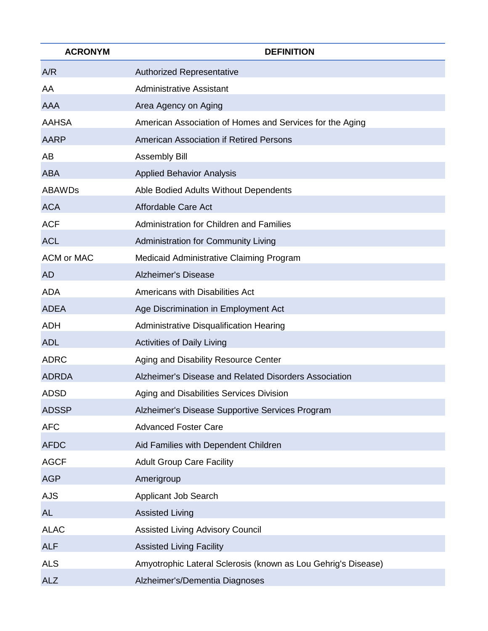| <b>ACRONYM</b>    | <b>DEFINITION</b>                                             |
|-------------------|---------------------------------------------------------------|
| A/R               | <b>Authorized Representative</b>                              |
| AA                | <b>Administrative Assistant</b>                               |
| <b>AAA</b>        | Area Agency on Aging                                          |
| <b>AAHSA</b>      | American Association of Homes and Services for the Aging      |
| <b>AARP</b>       | <b>American Association if Retired Persons</b>                |
| AB                | <b>Assembly Bill</b>                                          |
| <b>ABA</b>        | <b>Applied Behavior Analysis</b>                              |
| <b>ABAWDs</b>     | Able Bodied Adults Without Dependents                         |
| <b>ACA</b>        | Affordable Care Act                                           |
| <b>ACF</b>        | <b>Administration for Children and Families</b>               |
| <b>ACL</b>        | Administration for Community Living                           |
| <b>ACM or MAC</b> | Medicaid Administrative Claiming Program                      |
| <b>AD</b>         | <b>Alzheimer's Disease</b>                                    |
| <b>ADA</b>        | Americans with Disabilities Act                               |
| <b>ADEA</b>       | Age Discrimination in Employment Act                          |
| <b>ADH</b>        | Administrative Disqualification Hearing                       |
| <b>ADL</b>        | <b>Activities of Daily Living</b>                             |
| <b>ADRC</b>       | Aging and Disability Resource Center                          |
| <b>ADRDA</b>      | Alzheimer's Disease and Related Disorders Association         |
| <b>ADSD</b>       | Aging and Disabilities Services Division                      |
| <b>ADSSP</b>      | Alzheimer's Disease Supportive Services Program               |
| <b>AFC</b>        | <b>Advanced Foster Care</b>                                   |
| <b>AFDC</b>       | Aid Families with Dependent Children                          |
| <b>AGCF</b>       | <b>Adult Group Care Facility</b>                              |
| <b>AGP</b>        | Amerigroup                                                    |
| <b>AJS</b>        | Applicant Job Search                                          |
| <b>AL</b>         | <b>Assisted Living</b>                                        |
| <b>ALAC</b>       | <b>Assisted Living Advisory Council</b>                       |
| <b>ALF</b>        | <b>Assisted Living Facility</b>                               |
| <b>ALS</b>        | Amyotrophic Lateral Sclerosis (known as Lou Gehrig's Disease) |
| <b>ALZ</b>        | Alzheimer's/Dementia Diagnoses                                |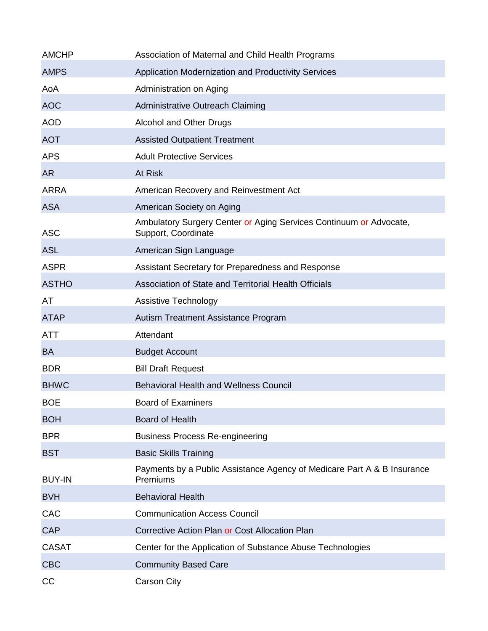| <b>AMCHP</b>  | Association of Maternal and Child Health Programs                                         |
|---------------|-------------------------------------------------------------------------------------------|
| <b>AMPS</b>   | Application Modernization and Productivity Services                                       |
| AoA           | Administration on Aging                                                                   |
| <b>AOC</b>    | Administrative Outreach Claiming                                                          |
| <b>AOD</b>    | Alcohol and Other Drugs                                                                   |
| <b>AOT</b>    | <b>Assisted Outpatient Treatment</b>                                                      |
| <b>APS</b>    | <b>Adult Protective Services</b>                                                          |
| <b>AR</b>     | At Risk                                                                                   |
| <b>ARRA</b>   | American Recovery and Reinvestment Act                                                    |
| <b>ASA</b>    | American Society on Aging                                                                 |
| <b>ASC</b>    | Ambulatory Surgery Center or Aging Services Continuum or Advocate,<br>Support, Coordinate |
| <b>ASL</b>    | American Sign Language                                                                    |
| <b>ASPR</b>   | Assistant Secretary for Preparedness and Response                                         |
| <b>ASTHO</b>  | Association of State and Territorial Health Officials                                     |
| AT            | Assistive Technology                                                                      |
| <b>ATAP</b>   | Autism Treatment Assistance Program                                                       |
| <b>ATT</b>    | Attendant                                                                                 |
| <b>BA</b>     | <b>Budget Account</b>                                                                     |
| <b>BDR</b>    | <b>Bill Draft Request</b>                                                                 |
| <b>BHWC</b>   | <b>Behavioral Health and Wellness Council</b>                                             |
| <b>BOE</b>    | <b>Board of Examiners</b>                                                                 |
| <b>BOH</b>    | <b>Board of Health</b>                                                                    |
| <b>BPR</b>    | <b>Business Process Re-engineering</b>                                                    |
| <b>BST</b>    | <b>Basic Skills Training</b>                                                              |
| <b>BUY-IN</b> | Payments by a Public Assistance Agency of Medicare Part A & B Insurance<br>Premiums       |
| <b>BVH</b>    | <b>Behavioral Health</b>                                                                  |
| CAC           | <b>Communication Access Council</b>                                                       |
| <b>CAP</b>    | Corrective Action Plan or Cost Allocation Plan                                            |
| <b>CASAT</b>  | Center for the Application of Substance Abuse Technologies                                |
| <b>CBC</b>    | <b>Community Based Care</b>                                                               |
| CC            | <b>Carson City</b>                                                                        |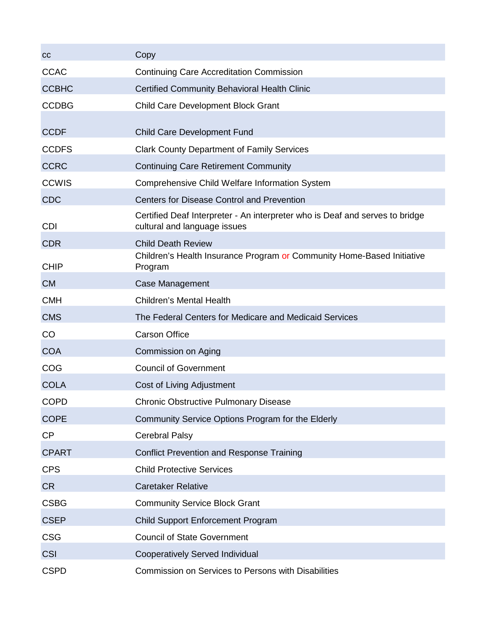| cc           | Copy                                                                                                         |
|--------------|--------------------------------------------------------------------------------------------------------------|
| <b>CCAC</b>  | <b>Continuing Care Accreditation Commission</b>                                                              |
| <b>CCBHC</b> | <b>Certified Community Behavioral Health Clinic</b>                                                          |
| <b>CCDBG</b> | <b>Child Care Development Block Grant</b>                                                                    |
|              |                                                                                                              |
| <b>CCDF</b>  | <b>Child Care Development Fund</b>                                                                           |
| <b>CCDFS</b> | <b>Clark County Department of Family Services</b>                                                            |
| <b>CCRC</b>  | <b>Continuing Care Retirement Community</b>                                                                  |
| <b>CCWIS</b> | Comprehensive Child Welfare Information System                                                               |
| <b>CDC</b>   | <b>Centers for Disease Control and Prevention</b>                                                            |
| <b>CDI</b>   | Certified Deaf Interpreter - An interpreter who is Deaf and serves to bridge<br>cultural and language issues |
| <b>CDR</b>   | <b>Child Death Review</b>                                                                                    |
| <b>CHIP</b>  | Children's Health Insurance Program or Community Home-Based Initiative<br>Program                            |
| <b>CM</b>    | <b>Case Management</b>                                                                                       |
| <b>CMH</b>   | <b>Children's Mental Health</b>                                                                              |
| <b>CMS</b>   | The Federal Centers for Medicare and Medicaid Services                                                       |
| CO           | <b>Carson Office</b>                                                                                         |
| <b>COA</b>   | Commission on Aging                                                                                          |
| COG          | <b>Council of Government</b>                                                                                 |
| <b>COLA</b>  | Cost of Living Adjustment                                                                                    |
| <b>COPD</b>  | <b>Chronic Obstructive Pulmonary Disease</b>                                                                 |
| <b>COPE</b>  | Community Service Options Program for the Elderly                                                            |
| <b>CP</b>    | <b>Cerebral Palsy</b>                                                                                        |
| <b>CPART</b> | <b>Conflict Prevention and Response Training</b>                                                             |
| <b>CPS</b>   | <b>Child Protective Services</b>                                                                             |
| <b>CR</b>    | <b>Caretaker Relative</b>                                                                                    |
| <b>CSBG</b>  | <b>Community Service Block Grant</b>                                                                         |
| <b>CSEP</b>  | <b>Child Support Enforcement Program</b>                                                                     |
| <b>CSG</b>   | <b>Council of State Government</b>                                                                           |
| <b>CSI</b>   | <b>Cooperatively Served Individual</b>                                                                       |
| <b>CSPD</b>  | Commission on Services to Persons with Disabilities                                                          |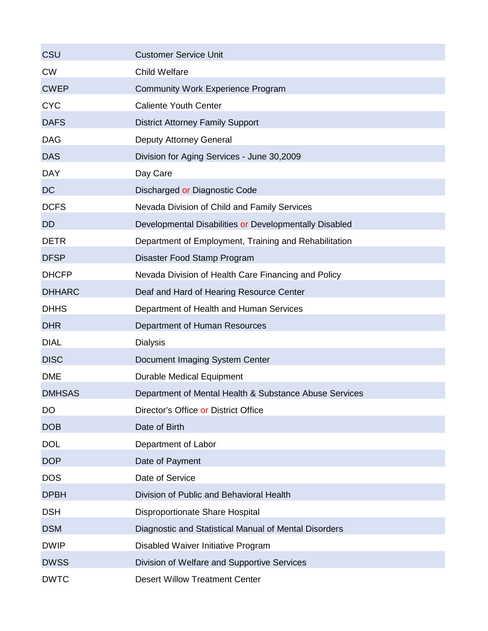| <b>CSU</b>    | <b>Customer Service Unit</b>                           |
|---------------|--------------------------------------------------------|
| <b>CW</b>     | <b>Child Welfare</b>                                   |
| <b>CWEP</b>   | <b>Community Work Experience Program</b>               |
| <b>CYC</b>    | <b>Caliente Youth Center</b>                           |
| <b>DAFS</b>   | <b>District Attorney Family Support</b>                |
| <b>DAG</b>    | <b>Deputy Attorney General</b>                         |
| <b>DAS</b>    | Division for Aging Services - June 30,2009             |
| <b>DAY</b>    | Day Care                                               |
| <b>DC</b>     | Discharged or Diagnostic Code                          |
| <b>DCFS</b>   | Nevada Division of Child and Family Services           |
| <b>DD</b>     | Developmental Disabilities or Developmentally Disabled |
| <b>DETR</b>   | Department of Employment, Training and Rehabilitation  |
| <b>DFSP</b>   | Disaster Food Stamp Program                            |
| <b>DHCFP</b>  | Nevada Division of Health Care Financing and Policy    |
| <b>DHHARC</b> | Deaf and Hard of Hearing Resource Center               |
| <b>DHHS</b>   | Department of Health and Human Services                |
| <b>DHR</b>    | Department of Human Resources                          |
| <b>DIAL</b>   | <b>Dialysis</b>                                        |
| <b>DISC</b>   | Document Imaging System Center                         |
| <b>DME</b>    | <b>Durable Medical Equipment</b>                       |
| <b>DMHSAS</b> | Department of Mental Health & Substance Abuse Services |
| DO            | Director's Office or District Office                   |
| <b>DOB</b>    | Date of Birth                                          |
| <b>DOL</b>    | Department of Labor                                    |
| <b>DOP</b>    | Date of Payment                                        |
| <b>DOS</b>    | Date of Service                                        |
| <b>DPBH</b>   | Division of Public and Behavioral Health               |
| <b>DSH</b>    | Disproportionate Share Hospital                        |
| <b>DSM</b>    | Diagnostic and Statistical Manual of Mental Disorders  |
| <b>DWIP</b>   | Disabled Waiver Initiative Program                     |
| <b>DWSS</b>   | Division of Welfare and Supportive Services            |
| <b>DWTC</b>   | <b>Desert Willow Treatment Center</b>                  |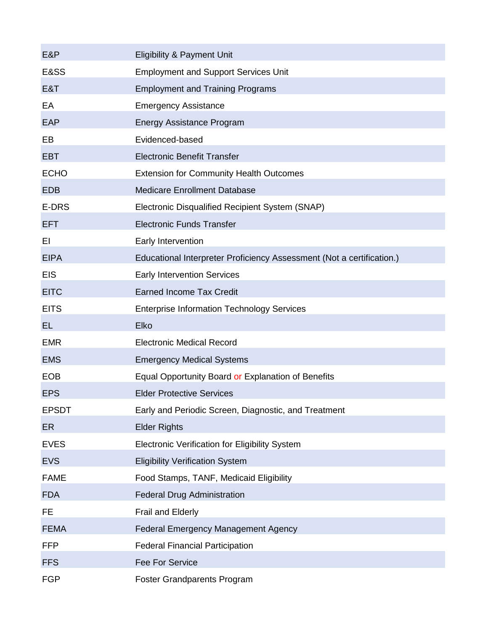| E&P          | <b>Eligibility &amp; Payment Unit</b>                                 |
|--------------|-----------------------------------------------------------------------|
| E&SS         | <b>Employment and Support Services Unit</b>                           |
| E&T          | <b>Employment and Training Programs</b>                               |
| EA           | <b>Emergency Assistance</b>                                           |
| EAP          | <b>Energy Assistance Program</b>                                      |
| EB           | Evidenced-based                                                       |
| <b>EBT</b>   | <b>Electronic Benefit Transfer</b>                                    |
| <b>ECHO</b>  | <b>Extension for Community Health Outcomes</b>                        |
| <b>EDB</b>   | <b>Medicare Enrollment Database</b>                                   |
| E-DRS        | Electronic Disqualified Recipient System (SNAP)                       |
| <b>EFT</b>   | <b>Electronic Funds Transfer</b>                                      |
| EI           | Early Intervention                                                    |
| <b>EIPA</b>  | Educational Interpreter Proficiency Assessment (Not a certification.) |
| <b>EIS</b>   | <b>Early Intervention Services</b>                                    |
| <b>EITC</b>  | <b>Earned Income Tax Credit</b>                                       |
| <b>EITS</b>  | <b>Enterprise Information Technology Services</b>                     |
| <b>EL</b>    | Elko                                                                  |
| <b>EMR</b>   | <b>Electronic Medical Record</b>                                      |
| <b>EMS</b>   | <b>Emergency Medical Systems</b>                                      |
| <b>EOB</b>   | Equal Opportunity Board or Explanation of Benefits                    |
| <b>EPS</b>   | <b>Elder Protective Services</b>                                      |
| <b>EPSDT</b> | Early and Periodic Screen, Diagnostic, and Treatment                  |
| <b>ER</b>    | <b>Elder Rights</b>                                                   |
| <b>EVES</b>  | <b>Electronic Verification for Eligibility System</b>                 |
| <b>EVS</b>   | <b>Eligibility Verification System</b>                                |
| <b>FAME</b>  | Food Stamps, TANF, Medicaid Eligibility                               |
| <b>FDA</b>   |                                                                       |
|              | <b>Federal Drug Administration</b>                                    |
| FE           | Frail and Elderly                                                     |
| <b>FEMA</b>  | <b>Federal Emergency Management Agency</b>                            |
| <b>FFP</b>   | <b>Federal Financial Participation</b>                                |
| <b>FFS</b>   | <b>Fee For Service</b>                                                |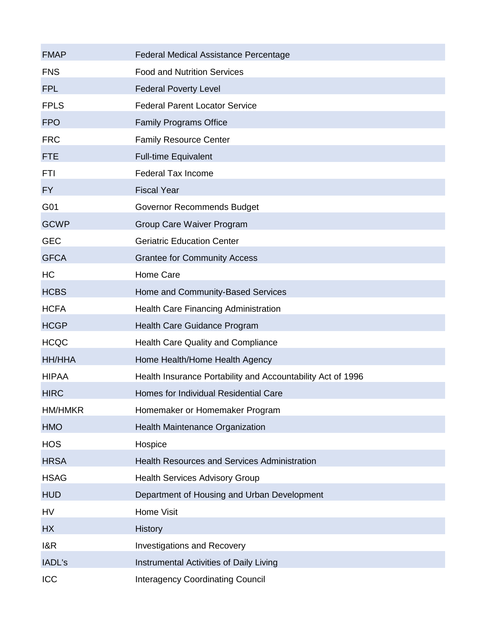| <b>FMAP</b>    | <b>Federal Medical Assistance Percentage</b>                |
|----------------|-------------------------------------------------------------|
| <b>FNS</b>     | <b>Food and Nutrition Services</b>                          |
| <b>FPL</b>     | <b>Federal Poverty Level</b>                                |
| <b>FPLS</b>    | <b>Federal Parent Locator Service</b>                       |
| <b>FPO</b>     | <b>Family Programs Office</b>                               |
| <b>FRC</b>     | <b>Family Resource Center</b>                               |
| <b>FTE</b>     | <b>Full-time Equivalent</b>                                 |
| <b>FTI</b>     | <b>Federal Tax Income</b>                                   |
| FY             | <b>Fiscal Year</b>                                          |
| G01            | Governor Recommends Budget                                  |
| <b>GCWP</b>    | Group Care Waiver Program                                   |
| <b>GEC</b>     | <b>Geriatric Education Center</b>                           |
| <b>GFCA</b>    | <b>Grantee for Community Access</b>                         |
| <b>HC</b>      | Home Care                                                   |
| <b>HCBS</b>    | Home and Community-Based Services                           |
| <b>HCFA</b>    | <b>Health Care Financing Administration</b>                 |
| <b>HCGP</b>    | Health Care Guidance Program                                |
| <b>HCQC</b>    | <b>Health Care Quality and Compliance</b>                   |
| HH/HHA         | Home Health/Home Health Agency                              |
| <b>HIPAA</b>   | Health Insurance Portability and Accountability Act of 1996 |
| <b>HIRC</b>    | Homes for Individual Residential Care                       |
| <b>HM/HMKR</b> | Homemaker or Homemaker Program                              |
| <b>HMO</b>     | Health Maintenance Organization                             |
| <b>HOS</b>     | Hospice                                                     |
| <b>HRSA</b>    | <b>Health Resources and Services Administration</b>         |
| <b>HSAG</b>    | <b>Health Services Advisory Group</b>                       |
| <b>HUD</b>     | Department of Housing and Urban Development                 |
| HV             | <b>Home Visit</b>                                           |
| <b>HX</b>      | <b>History</b>                                              |
| 18R            | <b>Investigations and Recovery</b>                          |
| IADL's         | Instrumental Activities of Daily Living                     |
| ICC            | <b>Interagency Coordinating Council</b>                     |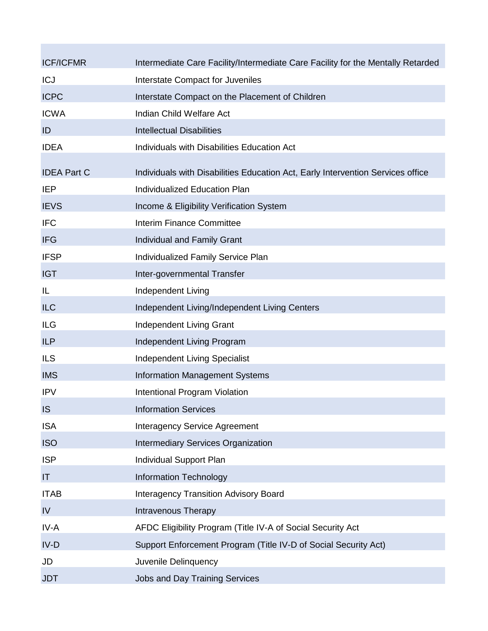| <b>ICF/ICFMR</b>   | Intermediate Care Facility/Intermediate Care Facility for the Mentally Retarded |
|--------------------|---------------------------------------------------------------------------------|
| <b>ICJ</b>         | Interstate Compact for Juveniles                                                |
| <b>ICPC</b>        | Interstate Compact on the Placement of Children                                 |
| <b>ICWA</b>        | Indian Child Welfare Act                                                        |
| ID                 | <b>Intellectual Disabilities</b>                                                |
| <b>IDEA</b>        | Individuals with Disabilities Education Act                                     |
| <b>IDEA Part C</b> | Individuals with Disabilities Education Act, Early Intervention Services office |
| <b>IEP</b>         | Individualized Education Plan                                                   |
| <b>IEVS</b>        | Income & Eligibility Verification System                                        |
| <b>IFC</b>         | <b>Interim Finance Committee</b>                                                |
| <b>IFG</b>         | Individual and Family Grant                                                     |
| <b>IFSP</b>        | Individualized Family Service Plan                                              |
| <b>IGT</b>         | Inter-governmental Transfer                                                     |
| IL                 | Independent Living                                                              |
| <b>ILC</b>         | Independent Living/Independent Living Centers                                   |
| <b>ILG</b>         | Independent Living Grant                                                        |
| <b>ILP</b>         | Independent Living Program                                                      |
| <b>ILS</b>         | <b>Independent Living Specialist</b>                                            |
| <b>IMS</b>         | <b>Information Management Systems</b>                                           |
| <b>IPV</b>         | Intentional Program Violation                                                   |
| <b>IS</b>          | <b>Information Services</b>                                                     |
| <b>ISA</b>         | <b>Interagency Service Agreement</b>                                            |
| <b>ISO</b>         | <b>Intermediary Services Organization</b>                                       |
| <b>ISP</b>         | Individual Support Plan                                                         |
| IT                 | <b>Information Technology</b>                                                   |
| <b>ITAB</b>        | <b>Interagency Transition Advisory Board</b>                                    |
| IV                 | <b>Intravenous Therapy</b>                                                      |
| IV-A               | AFDC Eligibility Program (Title IV-A of Social Security Act                     |
| $IV-D$             | Support Enforcement Program (Title IV-D of Social Security Act)                 |
| JD                 | Juvenile Delinquency                                                            |
| <b>JDT</b>         | <b>Jobs and Day Training Services</b>                                           |

**Contract Contract**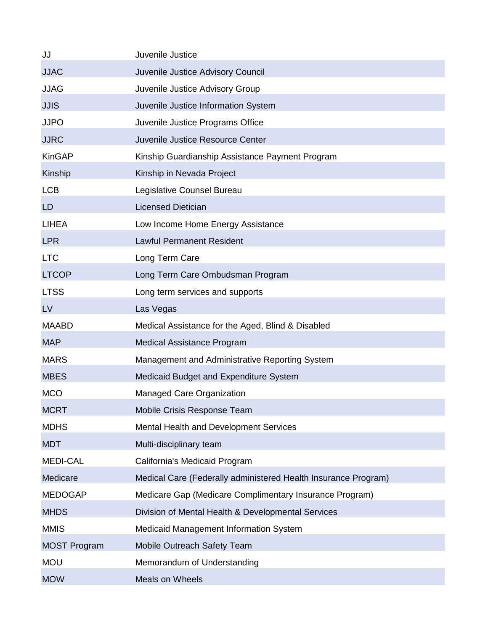| JJ                  | Juvenile Justice                                               |
|---------------------|----------------------------------------------------------------|
| <b>JJAC</b>         | Juvenile Justice Advisory Council                              |
| <b>JJAG</b>         | Juvenile Justice Advisory Group                                |
| <b>JJIS</b>         | Juvenile Justice Information System                            |
| <b>JJPO</b>         | Juvenile Justice Programs Office                               |
| <b>JJRC</b>         | Juvenile Justice Resource Center                               |
| <b>KinGAP</b>       | Kinship Guardianship Assistance Payment Program                |
| Kinship             | Kinship in Nevada Project                                      |
| <b>LCB</b>          | Legislative Counsel Bureau                                     |
| <b>LD</b>           | <b>Licensed Dietician</b>                                      |
| <b>LIHEA</b>        | Low Income Home Energy Assistance                              |
| <b>LPR</b>          | <b>Lawful Permanent Resident</b>                               |
| <b>LTC</b>          | Long Term Care                                                 |
| <b>LTCOP</b>        | Long Term Care Ombudsman Program                               |
| <b>LTSS</b>         | Long term services and supports                                |
| LV                  | Las Vegas                                                      |
| <b>MAABD</b>        | Medical Assistance for the Aged, Blind & Disabled              |
| <b>MAP</b>          | <b>Medical Assistance Program</b>                              |
| <b>MARS</b>         | Management and Administrative Reporting System                 |
| <b>MBES</b>         | Medicaid Budget and Expenditure System                         |
| <b>MCO</b>          | <b>Managed Care Organization</b>                               |
| <b>MCRT</b>         | Mobile Crisis Response Team                                    |
| <b>MDHS</b>         | Mental Health and Development Services                         |
| <b>MDT</b>          | Multi-disciplinary team                                        |
| <b>MEDI-CAL</b>     | California's Medicaid Program                                  |
| Medicare            | Medical Care (Federally administered Health Insurance Program) |
| <b>MEDOGAP</b>      | Medicare Gap (Medicare Complimentary Insurance Program)        |
| <b>MHDS</b>         | Division of Mental Health & Developmental Services             |
| <b>MMIS</b>         | Medicaid Management Information System                         |
| <b>MOST Program</b> | Mobile Outreach Safety Team                                    |
| <b>MOU</b>          | Memorandum of Understanding                                    |
| <b>MOW</b>          | <b>Meals on Wheels</b>                                         |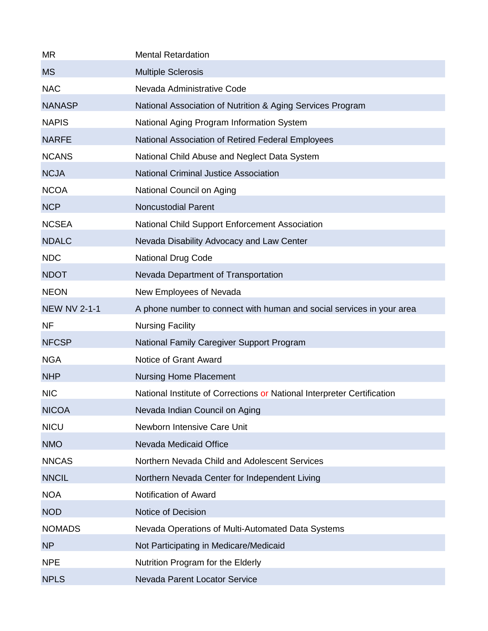| <b>MR</b>           | <b>Mental Retardation</b>                                               |
|---------------------|-------------------------------------------------------------------------|
| <b>MS</b>           | <b>Multiple Sclerosis</b>                                               |
| <b>NAC</b>          | Nevada Administrative Code                                              |
| <b>NANASP</b>       | National Association of Nutrition & Aging Services Program              |
| <b>NAPIS</b>        | National Aging Program Information System                               |
| <b>NARFE</b>        | National Association of Retired Federal Employees                       |
| <b>NCANS</b>        | National Child Abuse and Neglect Data System                            |
| <b>NCJA</b>         | <b>National Criminal Justice Association</b>                            |
| <b>NCOA</b>         | National Council on Aging                                               |
| <b>NCP</b>          | <b>Noncustodial Parent</b>                                              |
| <b>NCSEA</b>        | National Child Support Enforcement Association                          |
| <b>NDALC</b>        | Nevada Disability Advocacy and Law Center                               |
| <b>NDC</b>          | <b>National Drug Code</b>                                               |
| <b>NDOT</b>         | Nevada Department of Transportation                                     |
| <b>NEON</b>         | New Employees of Nevada                                                 |
| <b>NEW NV 2-1-1</b> | A phone number to connect with human and social services in your area   |
| <b>NF</b>           | <b>Nursing Facility</b>                                                 |
| <b>NFCSP</b>        | National Family Caregiver Support Program                               |
| <b>NGA</b>          | Notice of Grant Award                                                   |
| <b>NHP</b>          | <b>Nursing Home Placement</b>                                           |
| <b>NIC</b>          | National Institute of Corrections or National Interpreter Certification |
| <b>NICOA</b>        | Nevada Indian Council on Aging                                          |
| <b>NICU</b>         | Newborn Intensive Care Unit                                             |
| <b>NMO</b>          | Nevada Medicaid Office                                                  |
| <b>NNCAS</b>        | Northern Nevada Child and Adolescent Services                           |
| <b>NNCIL</b>        | Northern Nevada Center for Independent Living                           |
| <b>NOA</b>          | Notification of Award                                                   |
| <b>NOD</b>          | Notice of Decision                                                      |
| <b>NOMADS</b>       | Nevada Operations of Multi-Automated Data Systems                       |
| <b>NP</b>           | Not Participating in Medicare/Medicaid                                  |
| <b>NPE</b>          | Nutrition Program for the Elderly                                       |
| <b>NPLS</b>         | Nevada Parent Locator Service                                           |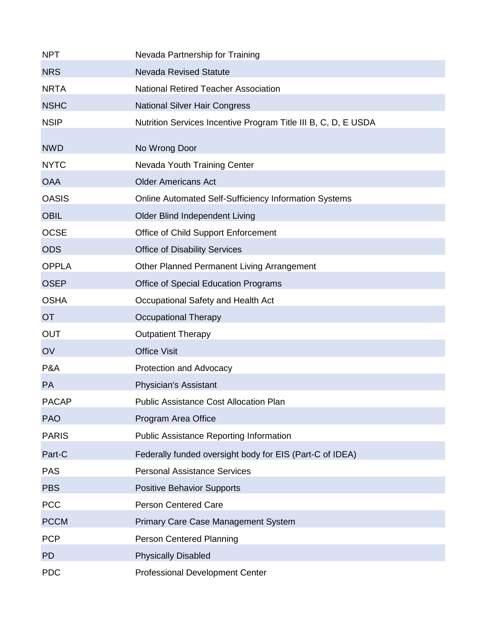| <b>NPT</b>   | Nevada Partnership for Training                                |
|--------------|----------------------------------------------------------------|
| <b>NRS</b>   | <b>Nevada Revised Statute</b>                                  |
| <b>NRTA</b>  | <b>National Retired Teacher Association</b>                    |
| <b>NSHC</b>  | <b>National Silver Hair Congress</b>                           |
| <b>NSIP</b>  | Nutrition Services Incentive Program Title III B, C, D, E USDA |
| <b>NWD</b>   | No Wrong Door                                                  |
| <b>NYTC</b>  | Nevada Youth Training Center                                   |
| <b>OAA</b>   | <b>Older Americans Act</b>                                     |
| <b>OASIS</b> | <b>Online Automated Self-Sufficiency Information Systems</b>   |
| <b>OBIL</b>  | Older Blind Independent Living                                 |
| <b>OCSE</b>  | Office of Child Support Enforcement                            |
| <b>ODS</b>   | <b>Office of Disability Services</b>                           |
| <b>OPPLA</b> | Other Planned Permanent Living Arrangement                     |
| <b>OSEP</b>  | <b>Office of Special Education Programs</b>                    |
| <b>OSHA</b>  | Occupational Safety and Health Act                             |
| <b>OT</b>    | Occupational Therapy                                           |
| <b>OUT</b>   | <b>Outpatient Therapy</b>                                      |
| OV           | <b>Office Visit</b>                                            |
| P&A          | Protection and Advocacy                                        |
| <b>PA</b>    | <b>Physician's Assistant</b>                                   |
| <b>PACAP</b> | <b>Public Assistance Cost Allocation Plan</b>                  |
| <b>PAO</b>   | Program Area Office                                            |
| <b>PARIS</b> | <b>Public Assistance Reporting Information</b>                 |
| Part-C       | Federally funded oversight body for EIS (Part-C of IDEA)       |
| <b>PAS</b>   | <b>Personal Assistance Services</b>                            |
| <b>PBS</b>   | <b>Positive Behavior Supports</b>                              |
| <b>PCC</b>   | <b>Person Centered Care</b>                                    |
| <b>PCCM</b>  | <b>Primary Care Case Management System</b>                     |
| <b>PCP</b>   | <b>Person Centered Planning</b>                                |
| <b>PD</b>    | <b>Physically Disabled</b>                                     |
| <b>PDC</b>   | <b>Professional Development Center</b>                         |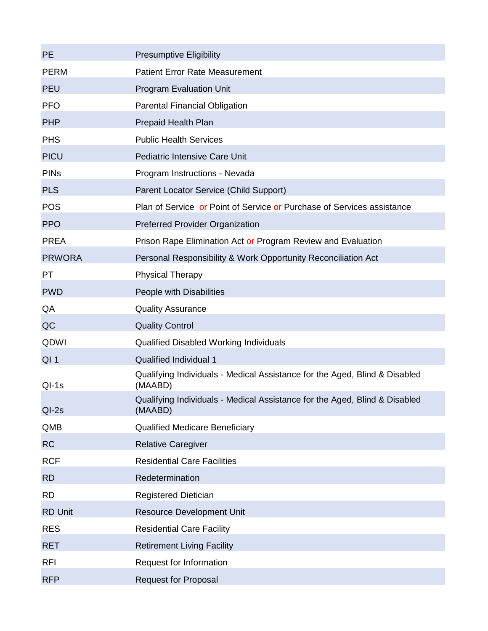| <b>PE</b>      | <b>Presumptive Eligibility</b>                                                        |
|----------------|---------------------------------------------------------------------------------------|
| <b>PERM</b>    | <b>Patient Error Rate Measurement</b>                                                 |
| <b>PEU</b>     | <b>Program Evaluation Unit</b>                                                        |
| <b>PFO</b>     | <b>Parental Financial Obligation</b>                                                  |
| <b>PHP</b>     | Prepaid Health Plan                                                                   |
| <b>PHS</b>     | <b>Public Health Services</b>                                                         |
| <b>PICU</b>    | Pediatric Intensive Care Unit                                                         |
| <b>PINs</b>    | Program Instructions - Nevada                                                         |
| <b>PLS</b>     | Parent Locator Service (Child Support)                                                |
| <b>POS</b>     | Plan of Service or Point of Service or Purchase of Services assistance                |
| <b>PPO</b>     | <b>Preferred Provider Organization</b>                                                |
| <b>PREA</b>    | Prison Rape Elimination Act or Program Review and Evaluation                          |
| <b>PRWORA</b>  | Personal Responsibility & Work Opportunity Reconciliation Act                         |
| <b>PT</b>      | <b>Physical Therapy</b>                                                               |
| <b>PWD</b>     | People with Disabilities                                                              |
| QA             | <b>Quality Assurance</b>                                                              |
| QC             | <b>Quality Control</b>                                                                |
| QDWI           | Qualified Disabled Working Individuals                                                |
| $QI$ 1         | Qualified Individual 1                                                                |
| $QI-1s$        | Qualifying Individuals - Medical Assistance for the Aged, Blind & Disabled<br>(MAABD) |
| $QI-2s$        | Qualifying Individuals - Medical Assistance for the Aged, Blind & Disabled<br>(MAABD) |
| QMB            | <b>Qualified Medicare Beneficiary</b>                                                 |
| <b>RC</b>      | <b>Relative Caregiver</b>                                                             |
| <b>RCF</b>     | <b>Residential Care Facilities</b>                                                    |
| <b>RD</b>      | Redetermination                                                                       |
| <b>RD</b>      | <b>Registered Dietician</b>                                                           |
| <b>RD Unit</b> | <b>Resource Development Unit</b>                                                      |
| <b>RES</b>     | <b>Residential Care Facility</b>                                                      |
| <b>RET</b>     | <b>Retirement Living Facility</b>                                                     |
| <b>RFI</b>     | Request for Information                                                               |
| <b>RFP</b>     | <b>Request for Proposal</b>                                                           |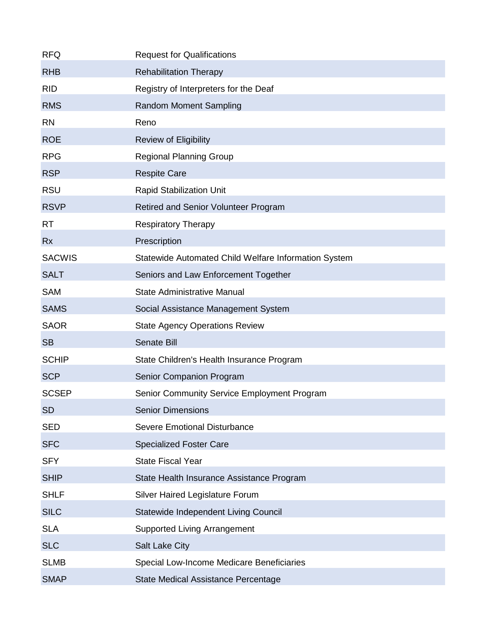| <b>RFQ</b>    | <b>Request for Qualifications</b>                    |
|---------------|------------------------------------------------------|
| <b>RHB</b>    | <b>Rehabilitation Therapy</b>                        |
| <b>RID</b>    | Registry of Interpreters for the Deaf                |
| <b>RMS</b>    | <b>Random Moment Sampling</b>                        |
| <b>RN</b>     | Reno                                                 |
| <b>ROE</b>    | <b>Review of Eligibility</b>                         |
| <b>RPG</b>    | <b>Regional Planning Group</b>                       |
| <b>RSP</b>    | <b>Respite Care</b>                                  |
| <b>RSU</b>    | <b>Rapid Stabilization Unit</b>                      |
| <b>RSVP</b>   | Retired and Senior Volunteer Program                 |
| <b>RT</b>     | <b>Respiratory Therapy</b>                           |
| <b>Rx</b>     | Prescription                                         |
| <b>SACWIS</b> | Statewide Automated Child Welfare Information System |
| <b>SALT</b>   | Seniors and Law Enforcement Together                 |
| <b>SAM</b>    | <b>State Administrative Manual</b>                   |
| <b>SAMS</b>   | Social Assistance Management System                  |
| <b>SAOR</b>   | <b>State Agency Operations Review</b>                |
| <b>SB</b>     | Senate Bill                                          |
| <b>SCHIP</b>  | State Children's Health Insurance Program            |
| <b>SCP</b>    | Senior Companion Program                             |
| <b>SCSEP</b>  | <b>Senior Community Service Employment Program</b>   |
| <b>SD</b>     | <b>Senior Dimensions</b>                             |
| <b>SED</b>    | <b>Severe Emotional Disturbance</b>                  |
| <b>SFC</b>    | <b>Specialized Foster Care</b>                       |
| <b>SFY</b>    | <b>State Fiscal Year</b>                             |
| <b>SHIP</b>   | State Health Insurance Assistance Program            |
| <b>SHLF</b>   | Silver Haired Legislature Forum                      |
| <b>SILC</b>   | Statewide Independent Living Council                 |
| <b>SLA</b>    | <b>Supported Living Arrangement</b>                  |
| <b>SLC</b>    | <b>Salt Lake City</b>                                |
| <b>SLMB</b>   | Special Low-Income Medicare Beneficiaries            |
| <b>SMAP</b>   | State Medical Assistance Percentage                  |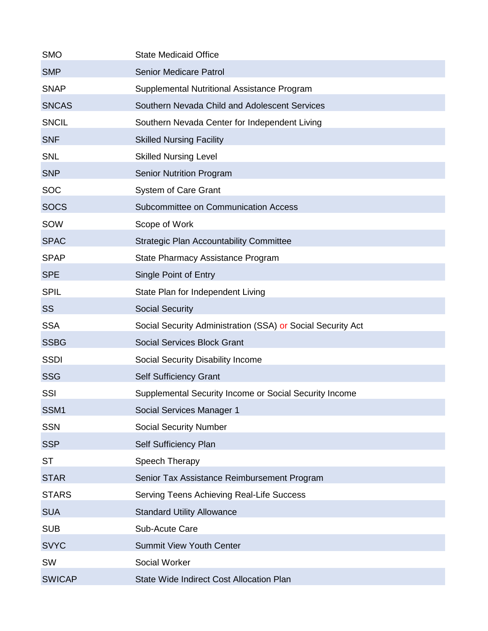| <b>SMO</b>    | <b>State Medicaid Office</b>                                |
|---------------|-------------------------------------------------------------|
| <b>SMP</b>    | <b>Senior Medicare Patrol</b>                               |
| <b>SNAP</b>   | Supplemental Nutritional Assistance Program                 |
| <b>SNCAS</b>  | Southern Nevada Child and Adolescent Services               |
| <b>SNCIL</b>  | Southern Nevada Center for Independent Living               |
| <b>SNF</b>    | <b>Skilled Nursing Facility</b>                             |
| <b>SNL</b>    | <b>Skilled Nursing Level</b>                                |
| <b>SNP</b>    | <b>Senior Nutrition Program</b>                             |
| <b>SOC</b>    | <b>System of Care Grant</b>                                 |
| <b>SOCS</b>   | Subcommittee on Communication Access                        |
| SOW           | Scope of Work                                               |
| <b>SPAC</b>   | <b>Strategic Plan Accountability Committee</b>              |
| <b>SPAP</b>   | State Pharmacy Assistance Program                           |
| <b>SPE</b>    | Single Point of Entry                                       |
| <b>SPIL</b>   | State Plan for Independent Living                           |
| <b>SS</b>     | <b>Social Security</b>                                      |
| <b>SSA</b>    | Social Security Administration (SSA) or Social Security Act |
| <b>SSBG</b>   | <b>Social Services Block Grant</b>                          |
| <b>SSDI</b>   | Social Security Disability Income                           |
| <b>SSG</b>    | Self Sufficiency Grant                                      |
| SSI           | Supplemental Security Income or Social Security Income      |
| SSM1          | Social Services Manager 1                                   |
| <b>SSN</b>    | <b>Social Security Number</b>                               |
| <b>SSP</b>    | Self Sufficiency Plan                                       |
| <b>ST</b>     | Speech Therapy                                              |
| <b>STAR</b>   | Senior Tax Assistance Reimbursement Program                 |
| <b>STARS</b>  | Serving Teens Achieving Real-Life Success                   |
| <b>SUA</b>    | <b>Standard Utility Allowance</b>                           |
| <b>SUB</b>    | Sub-Acute Care                                              |
| <b>SVYC</b>   | <b>Summit View Youth Center</b>                             |
| SW            | <b>Social Worker</b>                                        |
| <b>SWICAP</b> | State Wide Indirect Cost Allocation Plan                    |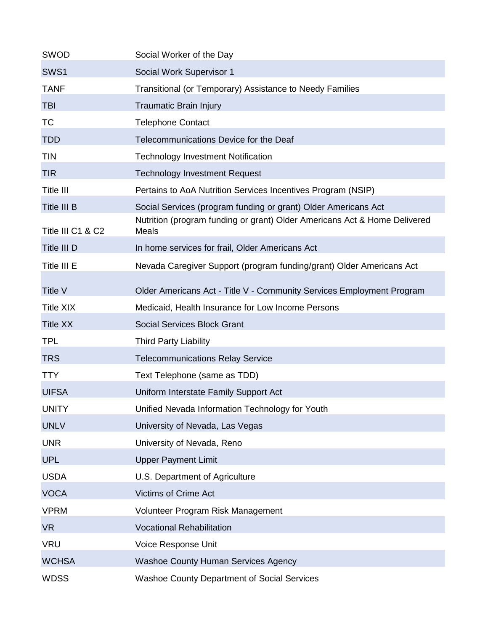| <b>SWOD</b>       | Social Worker of the Day                                                                                                                    |
|-------------------|---------------------------------------------------------------------------------------------------------------------------------------------|
| SWS1              | Social Work Supervisor 1                                                                                                                    |
| <b>TANF</b>       | Transitional (or Temporary) Assistance to Needy Families                                                                                    |
| <b>TBI</b>        | <b>Traumatic Brain Injury</b>                                                                                                               |
| <b>TC</b>         | <b>Telephone Contact</b>                                                                                                                    |
| <b>TDD</b>        | Telecommunications Device for the Deaf                                                                                                      |
| <b>TIN</b>        | <b>Technology Investment Notification</b>                                                                                                   |
| <b>TIR</b>        | <b>Technology Investment Request</b>                                                                                                        |
| Title III         | Pertains to AoA Nutrition Services Incentives Program (NSIP)                                                                                |
| Title III B       | Social Services (program funding or grant) Older Americans Act<br>Nutrition (program funding or grant) Older Americans Act & Home Delivered |
| Title III C1 & C2 | Meals                                                                                                                                       |
| Title III D       | In home services for frail, Older Americans Act                                                                                             |
| Title III E       | Nevada Caregiver Support (program funding/grant) Older Americans Act                                                                        |
| Title V           | Older Americans Act - Title V - Community Services Employment Program                                                                       |
| <b>Title XIX</b>  | Medicaid, Health Insurance for Low Income Persons                                                                                           |
| <b>Title XX</b>   | <b>Social Services Block Grant</b>                                                                                                          |
| <b>TPL</b>        | <b>Third Party Liability</b>                                                                                                                |
| <b>TRS</b>        | <b>Telecommunications Relay Service</b>                                                                                                     |
| <b>TTY</b>        | Text Telephone (same as TDD)                                                                                                                |
| <b>UIFSA</b>      | Uniform Interstate Family Support Act                                                                                                       |
| <b>UNITY</b>      | Unified Nevada Information Technology for Youth                                                                                             |
| <b>UNLV</b>       | University of Nevada, Las Vegas                                                                                                             |
| <b>UNR</b>        | University of Nevada, Reno                                                                                                                  |
| <b>UPL</b>        | <b>Upper Payment Limit</b>                                                                                                                  |
| <b>USDA</b>       | U.S. Department of Agriculture                                                                                                              |
| <b>VOCA</b>       | <b>Victims of Crime Act</b>                                                                                                                 |
| <b>VPRM</b>       | Volunteer Program Risk Management                                                                                                           |
| <b>VR</b>         | <b>Vocational Rehabilitation</b>                                                                                                            |
| <b>VRU</b>        | Voice Response Unit                                                                                                                         |
| <b>WCHSA</b>      | <b>Washoe County Human Services Agency</b>                                                                                                  |
| <b>WDSS</b>       | <b>Washoe County Department of Social Services</b>                                                                                          |